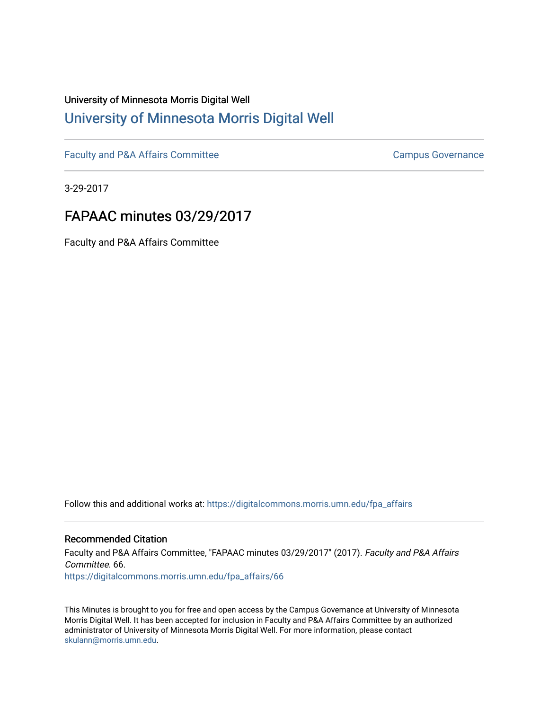# University of Minnesota Morris Digital Well [University of Minnesota Morris Digital Well](https://digitalcommons.morris.umn.edu/)

[Faculty and P&A Affairs Committee](https://digitalcommons.morris.umn.edu/fpa_affairs) [Campus Governance](https://digitalcommons.morris.umn.edu/campgov) Campus Governance

3-29-2017

# FAPAAC minutes 03/29/2017

Faculty and P&A Affairs Committee

Follow this and additional works at: [https://digitalcommons.morris.umn.edu/fpa\\_affairs](https://digitalcommons.morris.umn.edu/fpa_affairs?utm_source=digitalcommons.morris.umn.edu%2Ffpa_affairs%2F66&utm_medium=PDF&utm_campaign=PDFCoverPages)

## Recommended Citation

Faculty and P&A Affairs Committee, "FAPAAC minutes 03/29/2017" (2017). Faculty and P&A Affairs Committee. 66. [https://digitalcommons.morris.umn.edu/fpa\\_affairs/66](https://digitalcommons.morris.umn.edu/fpa_affairs/66?utm_source=digitalcommons.morris.umn.edu%2Ffpa_affairs%2F66&utm_medium=PDF&utm_campaign=PDFCoverPages) 

This Minutes is brought to you for free and open access by the Campus Governance at University of Minnesota Morris Digital Well. It has been accepted for inclusion in Faculty and P&A Affairs Committee by an authorized administrator of University of Minnesota Morris Digital Well. For more information, please contact [skulann@morris.umn.edu.](mailto:skulann@morris.umn.edu)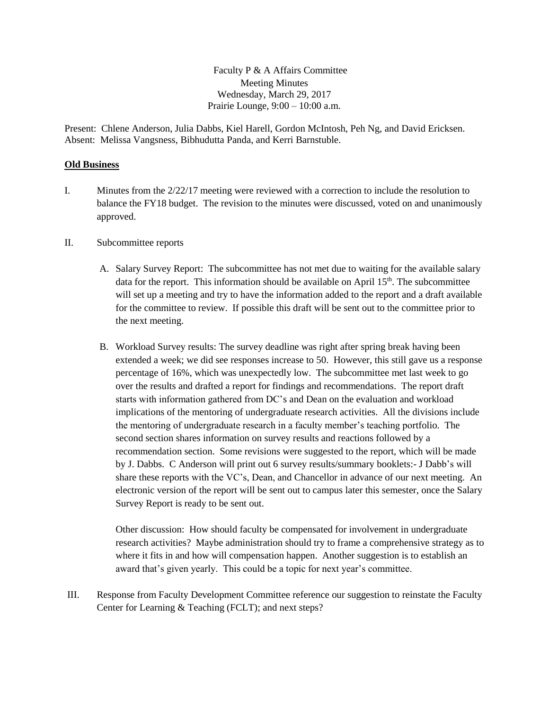Faculty P & A Affairs Committee Meeting Minutes Wednesday, March 29, 2017 Prairie Lounge, 9:00 – 10:00 a.m.

Present: Chlene Anderson, Julia Dabbs, Kiel Harell, Gordon McIntosh, Peh Ng, and David Ericksen. Absent: Melissa Vangsness, Bibhudutta Panda, and Kerri Barnstuble.

### **Old Business**

- I. Minutes from the 2/22/17 meeting were reviewed with a correction to include the resolution to balance the FY18 budget. The revision to the minutes were discussed, voted on and unanimously approved.
- II. Subcommittee reports
	- A. Salary Survey Report: The subcommittee has not met due to waiting for the available salary data for the report. This information should be available on April  $15<sup>th</sup>$ . The subcommittee will set up a meeting and try to have the information added to the report and a draft available for the committee to review. If possible this draft will be sent out to the committee prior to the next meeting.
	- B. Workload Survey results: The survey deadline was right after spring break having been extended a week; we did see responses increase to 50. However, this still gave us a response percentage of 16%, which was unexpectedly low. The subcommittee met last week to go over the results and drafted a report for findings and recommendations. The report draft starts with information gathered from DC's and Dean on the evaluation and workload implications of the mentoring of undergraduate research activities. All the divisions include the mentoring of undergraduate research in a faculty member's teaching portfolio. The second section shares information on survey results and reactions followed by a recommendation section. Some revisions were suggested to the report, which will be made by J. Dabbs. C Anderson will print out 6 survey results/summary booklets:- J Dabb's will share these reports with the VC's, Dean, and Chancellor in advance of our next meeting. An electronic version of the report will be sent out to campus later this semester, once the Salary Survey Report is ready to be sent out.

Other discussion: How should faculty be compensated for involvement in undergraduate research activities? Maybe administration should try to frame a comprehensive strategy as to where it fits in and how will compensation happen. Another suggestion is to establish an award that's given yearly. This could be a topic for next year's committee.

III. Response from Faculty Development Committee reference our suggestion to reinstate the Faculty Center for Learning & Teaching (FCLT); and next steps?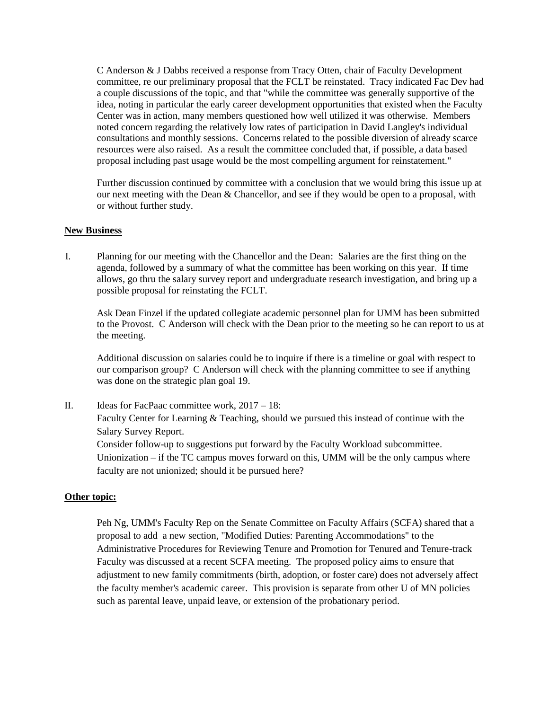C Anderson & J Dabbs received a response from Tracy Otten, chair of Faculty Development committee, re our preliminary proposal that the FCLT be reinstated. Tracy indicated Fac Dev had a couple discussions of the topic, and that "while the committee was generally supportive of the idea, noting in particular the early career development opportunities that existed when the Faculty Center was in action, many members questioned how well utilized it was otherwise. Members noted concern regarding the relatively low rates of participation in David Langley's individual consultations and monthly sessions. Concerns related to the possible diversion of already scarce resources were also raised. As a result the committee concluded that, if possible, a data based proposal including past usage would be the most compelling argument for reinstatement."

Further discussion continued by committee with a conclusion that we would bring this issue up at our next meeting with the Dean & Chancellor, and see if they would be open to a proposal, with or without further study.

### **New Business**

I. Planning for our meeting with the Chancellor and the Dean: Salaries are the first thing on the agenda, followed by a summary of what the committee has been working on this year. If time allows, go thru the salary survey report and undergraduate research investigation, and bring up a possible proposal for reinstating the FCLT.

Ask Dean Finzel if the updated collegiate academic personnel plan for UMM has been submitted to the Provost. C Anderson will check with the Dean prior to the meeting so he can report to us at the meeting.

Additional discussion on salaries could be to inquire if there is a timeline or goal with respect to our comparison group? C Anderson will check with the planning committee to see if anything was done on the strategic plan goal 19.

II. Ideas for FacPaac committee work, 2017 – 18: Faculty Center for Learning & Teaching, should we pursued this instead of continue with the Salary Survey Report. Consider follow-up to suggestions put forward by the Faculty Workload subcommittee. Unionization – if the TC campus moves forward on this, UMM will be the only campus where

faculty are not unionized; should it be pursued here?

#### **Other topic:**

Peh Ng, UMM's Faculty Rep on the Senate Committee on Faculty Affairs (SCFA) shared that a proposal to add a new section, "Modified Duties: Parenting Accommodations" to the Administrative Procedures for Reviewing Tenure and Promotion for Tenured and Tenure-track Faculty was discussed at a recent SCFA meeting. The proposed policy aims to ensure that adjustment to new family commitments (birth, adoption, or foster care) does not adversely affect the faculty member's academic career. This provision is separate from other U of MN policies such as parental leave, unpaid leave, or extension of the probationary period.